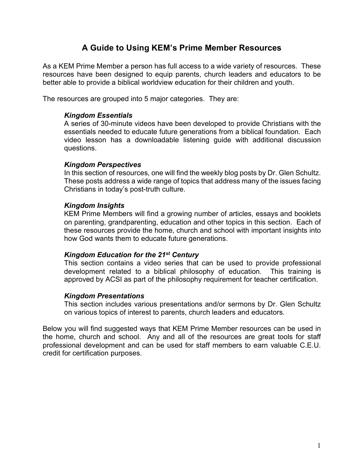# **A Guide to Using KEM's Prime Member Resources**

As a KEM Prime Member a person has full access to a wide variety of resources. These resources have been designed to equip parents, church leaders and educators to be better able to provide a biblical worldview education for their children and youth.

The resources are grouped into 5 major categories. They are:

## *Kingdom Essentials*

A series of 30-minute videos have been developed to provide Christians with the essentials needed to educate future generations from a biblical foundation. Each video lesson has a downloadable listening guide with additional discussion questions.

#### *Kingdom Perspectives*

In this section of resources, one will find the weekly blog posts by Dr. Glen Schultz. These posts address a wide range of topics that address many of the issues facing Christians in today's post-truth culture.

#### *Kingdom Insights*

KEM Prime Members will find a growing number of articles, essays and booklets on parenting, grandparenting, education and other topics in this section. Each of these resources provide the home, church and school with important insights into how God wants them to educate future generations.

#### *Kingdom Education for the 21st Century*

This section contains a video series that can be used to provide professional development related to a biblical philosophy of education. This training is approved by ACSI as part of the philosophy requirement for teacher certification.

## *Kingdom Presentations*

This section includes various presentations and/or sermons by Dr. Glen Schultz on various topics of interest to parents, church leaders and educators.

Below you will find suggested ways that KEM Prime Member resources can be used in the home, church and school. Any and all of the resources are great tools for staff professional development and can be used for staff members to earn valuable C.E.U. credit for certification purposes.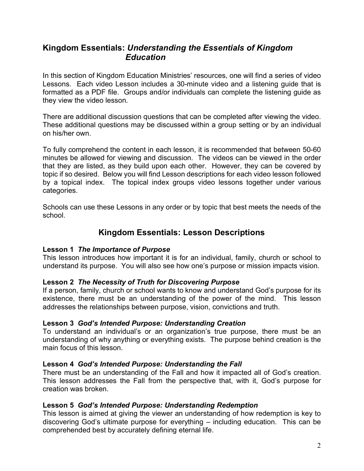# **Kingdom Essentials:** *Understanding the Essentials of Kingdom Education*

In this section of Kingdom Education Ministries' resources, one will find a series of video Lessons. Each video Lesson includes a 30-minute video and a listening guide that is formatted as a PDF file. Groups and/or individuals can complete the listening guide as they view the video lesson.

There are additional discussion questions that can be completed after viewing the video. These additional questions may be discussed within a group setting or by an individual on his/her own.

To fully comprehend the content in each lesson, it is recommended that between 50-60 minutes be allowed for viewing and discussion. The videos can be viewed in the order that they are listed, as they build upon each other. However, they can be covered by topic if so desired. Below you will find Lesson descriptions for each video lesson followed by a topical index. The topical index groups video lessons together under various categories.

Schools can use these Lessons in any order or by topic that best meets the needs of the school.

# **Kingdom Essentials: Lesson Descriptions**

## **Lesson 1** *The Importance of Purpose*

This lesson introduces how important it is for an individual, family, church or school to understand its purpose. You will also see how one's purpose or mission impacts vision.

## **Lesson 2** *The Necessity of Truth for Discovering Purpose*

If a person, family, church or school wants to know and understand God's purpose for its existence, there must be an understanding of the power of the mind. This lesson addresses the relationships between purpose, vision, convictions and truth.

## **Lesson 3** *God's Intended Purpose: Understanding Creation*

To understand an individual's or an organization's true purpose, there must be an understanding of why anything or everything exists. The purpose behind creation is the main focus of this lesson.

## **Lesson 4** *God's Intended Purpose: Understanding the Fall*

There must be an understanding of the Fall and how it impacted all of God's creation. This lesson addresses the Fall from the perspective that, with it, God's purpose for creation was broken.

## **Lesson 5** *God's Intended Purpose: Understanding Redemption*

This lesson is aimed at giving the viewer an understanding of how redemption is key to discovering God's ultimate purpose for everything – including education. This can be comprehended best by accurately defining eternal life.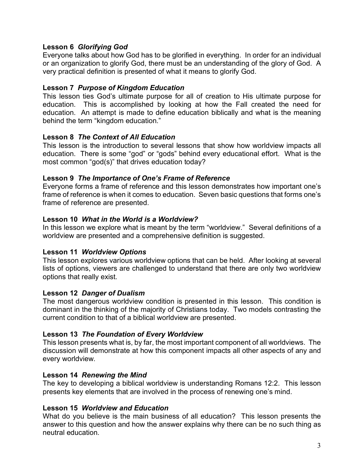## **Lesson 6** *Glorifying God*

Everyone talks about how God has to be glorified in everything. In order for an individual or an organization to glorify God, there must be an understanding of the glory of God. A very practical definition is presented of what it means to glorify God.

## **Lesson 7** *Purpose of Kingdom Education*

This lesson ties God's ultimate purpose for all of creation to His ultimate purpose for education. This is accomplished by looking at how the Fall created the need for education. An attempt is made to define education biblically and what is the meaning behind the term "kingdom education."

## **Lesson 8** *The Context of All Education*

This lesson is the introduction to several lessons that show how worldview impacts all education. There is some "god" or "gods" behind every educational effort. What is the most common "god(s)" that drives education today?

## **Lesson 9** *The Importance of One's Frame of Reference*

Everyone forms a frame of reference and this lesson demonstrates how important one's frame of reference is when it comes to education. Seven basic questions that forms one's frame of reference are presented.

## **Lesson 10** *What in the World is a Worldview?*

In this lesson we explore what is meant by the term "worldview." Several definitions of a worldview are presented and a comprehensive definition is suggested.

## **Lesson 11** *Worldview Options*

This lesson explores various worldview options that can be held. After looking at several lists of options, viewers are challenged to understand that there are only two worldview options that really exist.

## **Lesson 12** *Danger of Dualism*

The most dangerous worldview condition is presented in this lesson. This condition is dominant in the thinking of the majority of Christians today. Two models contrasting the current condition to that of a biblical worldview are presented.

## **Lesson 13** *The Foundation of Every Worldview*

This lesson presents what is, by far, the most important component of all worldviews. The discussion will demonstrate at how this component impacts all other aspects of any and every worldview.

## **Lesson 14** *Renewing the Mind*

The key to developing a biblical worldview is understanding Romans 12:2. This lesson presents key elements that are involved in the process of renewing one's mind.

## **Lesson 15** *Worldview and Education*

What do you believe is the main business of all education? This lesson presents the answer to this question and how the answer explains why there can be no such thing as neutral education.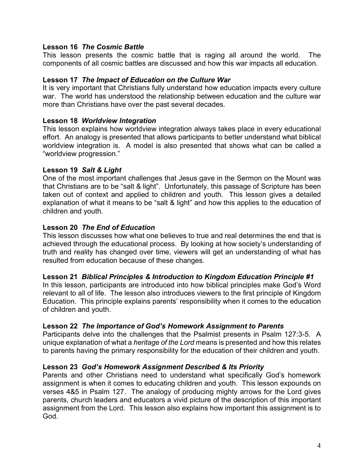## **Lesson 16** *The Cosmic Battle*

This lesson presents the cosmic battle that is raging all around the world. The components of all cosmic battles are discussed and how this war impacts all education.

## **Lesson 17** *The Impact of Education on the Culture War*

It is very important that Christians fully understand how education impacts every culture war. The world has understood the relationship between education and the culture war more than Christians have over the past several decades.

## **Lesson 18** *Worldview Integration*

This lesson explains how worldview integration always takes place in every educational effort. An analogy is presented that allows participants to better understand what biblical worldview integration is. A model is also presented that shows what can be called a "worldview progression."

## **Lesson 19** *Salt & Light*

One of the most important challenges that Jesus gave in the Sermon on the Mount was that Christians are to be "salt & light". Unfortunately, this passage of Scripture has been taken out of context and applied to children and youth. This lesson gives a detailed explanation of what it means to be "salt & light" and how this applies to the education of children and youth.

## **Lesson 20** *The End of Education*

This lesson discusses how what one believes to true and real determines the end that is achieved through the educational process. By looking at how society's understanding of truth and reality has changed over time, viewers will get an understanding of what has resulted from education because of these changes.

## **Lesson 21** *Biblical Principles & Introduction to Kingdom Education Principle #1*

In this lesson, participants are introduced into how biblical principles make God's Word relevant to all of life. The lesson also introduces viewers to the first principle of Kingdom Education. This principle explains parents' responsibility when it comes to the education of children and youth.

## **Lesson 22** *The Importance of God's Homework Assignment to Parents*

Participants delve into the challenges that the Psalmist presents in Psalm 127:3-5. A unique explanation of what a *heritage of the Lord* means is presented and how this relates to parents having the primary responsibility for the education of their children and youth.

## **Lesson 23** *God's Homework Assignment Described & Its Priority*

Parents and other Christians need to understand what specifically God's homework assignment is when it comes to educating children and youth. This lesson expounds on verses 4&5 in Psalm 127. The analogy of producing mighty arrows for the Lord gives parents, church leaders and educators a vivid picture of the description of this important assignment from the Lord. This lesson also explains how important this assignment is to God.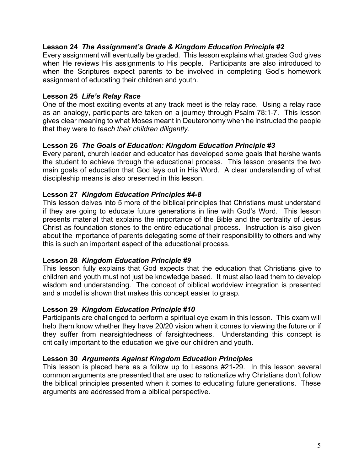## **Lesson 24** *The Assignment's Grade & Kingdom Education Principle #2*

Every assignment will eventually be graded. This lesson explains what grades God gives when He reviews His assignments to His people. Participants are also introduced to when the Scriptures expect parents to be involved in completing God's homework assignment of educating their children and youth.

## **Lesson 25** *Life's Relay Race*

One of the most exciting events at any track meet is the relay race. Using a relay race as an analogy, participants are taken on a journey through Psalm 78:1-7. This lesson gives clear meaning to what Moses meant in Deuteronomy when he instructed the people that they were to *teach their children diligently*.

## **Lesson 26** *The Goals of Education: Kingdom Education Principle #3*

Every parent, church leader and educator has developed some goals that he/she wants the student to achieve through the educational process. This lesson presents the two main goals of education that God lays out in His Word. A clear understanding of what discipleship means is also presented in this lesson.

## **Lesson 27** *Kingdom Education Principles #4-8*

This lesson delves into 5 more of the biblical principles that Christians must understand if they are going to educate future generations in line with God's Word. This lesson presents material that explains the importance of the Bible and the centrality of Jesus Christ as foundation stones to the entire educational process. Instruction is also given about the importance of parents delegating some of their responsibility to others and why this is such an important aspect of the educational process.

## **Lesson 28** *Kingdom Education Principle #9*

This lesson fully explains that God expects that the education that Christians give to children and youth must not just be knowledge based. It must also lead them to develop wisdom and understanding. The concept of biblical worldview integration is presented and a model is shown that makes this concept easier to grasp.

## **Lesson 29** *Kingdom Education Principle #10*

Participants are challenged to perform a spiritual eye exam in this lesson. This exam will help them know whether they have 20/20 vision when it comes to viewing the future or if they suffer from nearsightedness of farsightedness. Understanding this concept is critically important to the education we give our children and youth.

## **Lesson 30** *Arguments Against Kingdom Education Principles*

This lesson is placed here as a follow up to Lessons #21-29. In this lesson several common arguments are presented that are used to rationalize why Christians don't follow the biblical principles presented when it comes to educating future generations. These arguments are addressed from a biblical perspective.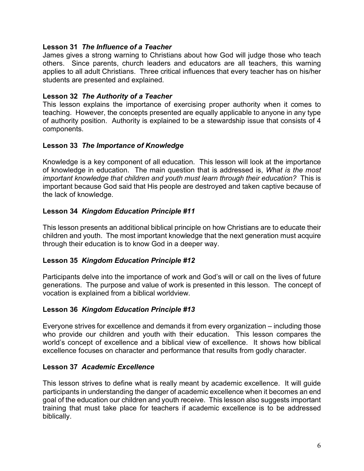## **Lesson 31** *The Influence of a Teacher*

James gives a strong warning to Christians about how God will judge those who teach others. Since parents, church leaders and educators are all teachers, this warning applies to all adult Christians. Three critical influences that every teacher has on his/her students are presented and explained.

## **Lesson 32** *The Authority of a Teacher*

This lesson explains the importance of exercising proper authority when it comes to teaching. However, the concepts presented are equally applicable to anyone in any type of authority position. Authority is explained to be a stewardship issue that consists of 4 components.

## **Lesson 33** *The Importance of Knowledge*

Knowledge is a key component of all education. This lesson will look at the importance of knowledge in education. The main question that is addressed is, *What is the most important knowledge that children and youth must learn through their education?* This is important because God said that His people are destroyed and taken captive because of the lack of knowledge.

## **Lesson 34** *Kingdom Education Principle #11*

This lesson presents an additional biblical principle on how Christians are to educate their children and youth. The most important knowledge that the next generation must acquire through their education is to know God in a deeper way.

## **Lesson 35** *Kingdom Education Principle #12*

Participants delve into the importance of work and God's will or call on the lives of future generations. The purpose and value of work is presented in this lesson. The concept of vocation is explained from a biblical worldview.

## **Lesson 36** *Kingdom Education Principle #13*

Everyone strives for excellence and demands it from every organization – including those who provide our children and youth with their education. This lesson compares the world's concept of excellence and a biblical view of excellence. It shows how biblical excellence focuses on character and performance that results from godly character.

## **Lesson 37** *Academic Excellence*

This lesson strives to define what is really meant by academic excellence. It will guide participants in understanding the danger of academic excellence when it becomes an end goal of the education our children and youth receive. This lesson also suggests important training that must take place for teachers if academic excellence is to be addressed biblically.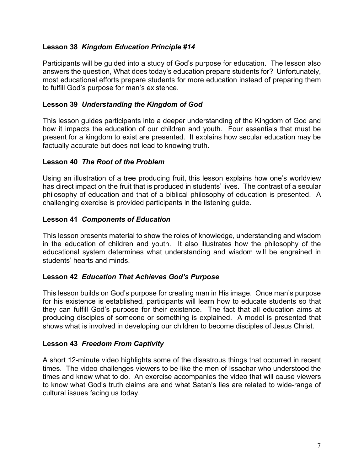## **Lesson 38** *Kingdom Education Principle #14*

Participants will be guided into a study of God's purpose for education. The lesson also answers the question, What does today's education prepare students for? Unfortunately, most educational efforts prepare students for more education instead of preparing them to fulfill God's purpose for man's existence.

## **Lesson 39** *Understanding the Kingdom of God*

This lesson guides participants into a deeper understanding of the Kingdom of God and how it impacts the education of our children and youth. Four essentials that must be present for a kingdom to exist are presented. It explains how secular education may be factually accurate but does not lead to knowing truth.

## **Lesson 40** *The Root of the Problem*

Using an illustration of a tree producing fruit, this lesson explains how one's worldview has direct impact on the fruit that is produced in students' lives. The contrast of a secular philosophy of education and that of a biblical philosophy of education is presented. A challenging exercise is provided participants in the listening guide.

## **Lesson 41** *Components of Education*

This lesson presents material to show the roles of knowledge, understanding and wisdom in the education of children and youth. It also illustrates how the philosophy of the educational system determines what understanding and wisdom will be engrained in students' hearts and minds.

## **Lesson 42** *Education That Achieves God's Purpose*

This lesson builds on God's purpose for creating man in His image. Once man's purpose for his existence is established, participants will learn how to educate students so that they can fulfill God's purpose for their existence. The fact that all education aims at producing disciples of someone or something is explained. A model is presented that shows what is involved in developing our children to become disciples of Jesus Christ.

## **Lesson 43** *Freedom From Captivity*

A short 12-minute video highlights some of the disastrous things that occurred in recent times. The video challenges viewers to be like the men of Issachar who understood the times and knew what to do. An exercise accompanies the video that will cause viewers to know what God's truth claims are and what Satan's lies are related to wide-range of cultural issues facing us today.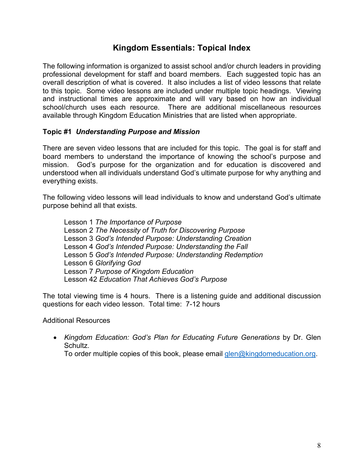# **Kingdom Essentials: Topical Index**

The following information is organized to assist school and/or church leaders in providing professional development for staff and board members. Each suggested topic has an overall description of what is covered. It also includes a list of video lessons that relate to this topic. Some video lessons are included under multiple topic headings. Viewing and instructional times are approximate and will vary based on how an individual school/church uses each resource. There are additional miscellaneous resources available through Kingdom Education Ministries that are listed when appropriate.

## **Topic #1** *Understanding Purpose and Mission*

There are seven video lessons that are included for this topic. The goal is for staff and board members to understand the importance of knowing the school's purpose and mission. God's purpose for the organization and for education is discovered and understood when all individuals understand God's ultimate purpose for why anything and everything exists.

The following video lessons will lead individuals to know and understand God's ultimate purpose behind all that exists.

Lesson 1 *The Importance of Purpose* Lesson 2 *The Necessity of Truth for Discovering Purpose*  Lesson 3 *God's Intended Purpose: Understanding Creation* Lesson 4 *God's Intended Purpose: Understanding the Fall* Lesson 5 *God's Intended Purpose: Understanding Redemption* Lesson 6 *Glorifying God* Lesson 7 *Purpose of Kingdom Education* Lesson 42 *Education That Achieves God's Purpose*

The total viewing time is 4 hours. There is a listening guide and additional discussion questions for each video lesson. Total time: 7-12 hours

Additional Resources

• *Kingdom Education: God's Plan for Educating Future Generations* by Dr. Glen Schultz.

To order multiple copies of this book, please email  $\frac{q}{q}$ kingdomeducation.org.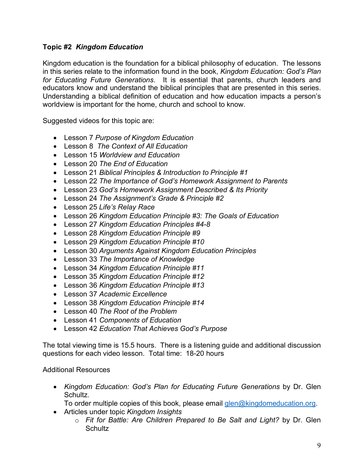# **Topic #2** *Kingdom Education*

Kingdom education is the foundation for a biblical philosophy of education. The lessons in this series relate to the information found in the book, *Kingdom Education: God's Plan for Educating Future Generations*. It is essential that parents, church leaders and educators know and understand the biblical principles that are presented in this series. Understanding a biblical definition of education and how education impacts a person's worldview is important for the home, church and school to know.

Suggested videos for this topic are:

- Lesson 7 *Purpose of Kingdom Education*
- Lesson 8 *The Context of All Education*
- Lesson 15 *Worldview and Education*
- Lesson 20 *The End of Education*
- Lesson 21 *Biblical Principles & Introduction to Principle #1*
- Lesson 22 *The Importance of God's Homework Assignment to Parents*
- Lesson 23 *God's Homework Assignment Described & Its Priority*
- Lesson 24 *The Assignment's Grade & Principle #2*
- Lesson 25 *Life's Relay Race*
- Lesson 26 *Kingdom Education Principle #3: The Goals of Education*
- Lesson 27 *Kingdom Education Principles #4-8*
- Lesson 28 *Kingdom Education Principle #9*
- Lesson 29 *Kingdom Education Principle #10*
- Lesson 30 *Arguments Against Kingdom Education Principles*
- Lesson 33 *The Importance of Knowledge*
- Lesson 34 *Kingdom Education Principle #11*
- Lesson 35 *Kingdom Education Principle #12*
- Lesson 36 *Kingdom Education Principle #13*
- Lesson 37 *Academic Excellence*
- Lesson 38 *Kingdom Education Principle #14*
- Lesson 40 *The Root of the Problem*
- Lesson 41 *Components of Education*
- Lesson 42 *Education That Achieves God's Purpose*

The total viewing time is 15.5 hours. There is a listening guide and additional discussion questions for each video lesson. Total time: 18-20 hours

## Additional Resources

- *Kingdom Education: God's Plan for Educating Future Generations* by Dr. Glen Schultz.
	- To order multiple copies of this book, please email  $\frac{\text{glen@kingdomeducation.org}}{\text{glen@kingdomeducation.org}}$ .
- Articles under topic *Kingdom Insights*
	- o *Fit for Battle: Are Children Prepared to Be Salt and Light?* by Dr. Glen **Schultz**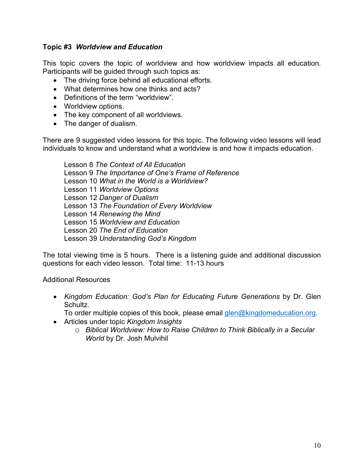## **Topic #3** *Worldview and Education*

This topic covers the topic of worldview and how worldview impacts all education. Participants will be guided through such topics as:

- The driving force behind all educational efforts.
- What determines how one thinks and acts?
- Definitions of the term "worldview".
- Worldview options.
- The key component of all worldviews.
- The danger of dualism.

There are 9 suggested video lessons for this topic. The following video lessons will lead individuals to know and understand what a worldview is and how it impacts education.

Lesson 8 *The Context of All Education* Lesson 9 *The Importance of One's Frame of Reference* Lesson 10 *What in the World is a Worldview?* Lesson 11 *Worldview Options* Lesson 12 *Danger of Dualism* Lesson 13 *The Foundation of Every Worldview* Lesson 14 *Renewing the Mind* Lesson 15 *Worldview and Education* Lesson 20 *The End of Education* Lesson 39 *Understanding God's Kingdom*

The total viewing time is 5 hours. There is a listening guide and additional discussion questions for each video lesson. Total time: 11-13 hours

## Additional Resources

- *Kingdom Education: God's Plan for Educating Future Generations* by Dr. Glen Schultz.
- To order multiple copies of this book, please email  $\frac{\text{glen}\textcircled{a}}{\text{kingdomeduction.org}}$ .
- Articles under topic *Kingdom Insights*
	- o *Biblical Worldview: How to Raise Children to Think Biblically in a Secular World* by Dr. Josh Mulvihil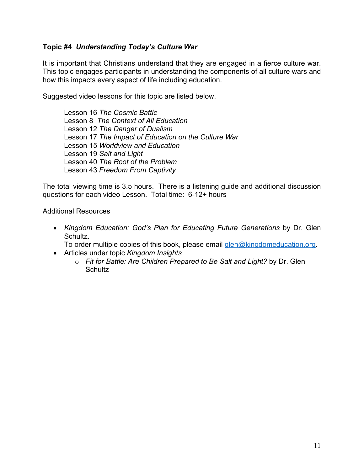## **Topic #4** *Understanding Today's Culture War*

It is important that Christians understand that they are engaged in a fierce culture war. This topic engages participants in understanding the components of all culture wars and how this impacts every aspect of life including education.

Suggested video lessons for this topic are listed below.

Lesson 16 *The Cosmic Battle* Lesson 8 *The Context of All Education* Lesson 12 *The Danger of Dualism* Lesson 17 *The Impact of Education on the Culture War* Lesson 15 *Worldview and Education* Lesson 19 *Salt and Light* Lesson 40 *The Root of the Problem* Lesson 43 *Freedom From Captivity*

The total viewing time is 3.5 hours. There is a listening guide and additional discussion questions for each video Lesson. Total time: 6-12+ hours

Additional Resources

• *Kingdom Education: God's Plan for Educating Future Generations* by Dr. Glen Schultz.

To order multiple copies of this book, please email glen@kingdomeducation.org.

- Articles under topic *Kingdom Insights*
	- o *Fit for Battle: Are Children Prepared to Be Salt and Light?* by Dr. Glen **Schultz**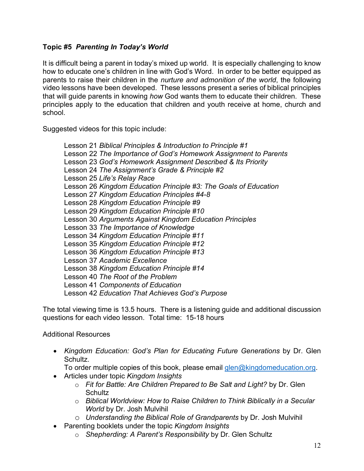# **Topic #5** *Parenting In Today's World*

It is difficult being a parent in today's mixed up world. It is especially challenging to know how to educate one's children in line with God's Word. In order to be better equipped as parents to raise their children in the *nurture and admonition of the world*, the following video lessons have been developed. These lessons present a series of biblical principles that will guide parents in knowing *how* God wants them to educate their children. These principles apply to the education that children and youth receive at home, church and school.

Suggested videos for this topic include:

Lesson 21 *Biblical Principles & Introduction to Principle #1* Lesson 22 *The Importance of God's Homework Assignment to Parents* Lesson 23 *God's Homework Assignment Described & Its Priority* Lesson 24 *The Assignment's Grade & Principle #2* Lesson 25 *Life's Relay Race* Lesson 26 *Kingdom Education Principle #3: The Goals of Education* Lesson 27 *Kingdom Education Principles #4-8* Lesson 28 *Kingdom Education Principle #9* Lesson 29 *Kingdom Education Principle #10* Lesson 30 *Arguments Against Kingdom Education Principles* Lesson 33 *The Importance of Knowledge*  Lesson 34 *Kingdom Education Principle #11* Lesson 35 *Kingdom Education Principle #12* Lesson 36 *Kingdom Education Principle #13* Lesson 37 *Academic Excellence* Lesson 38 *Kingdom Education Principle #14* Lesson 40 *The Root of the Problem* Lesson 41 *Components of Education* Lesson 42 *Education That Achieves God's Purpose*

The total viewing time is 13.5 hours. There is a listening guide and additional discussion questions for each video lesson. Total time: 15-18 hours

Additional Resources

• *Kingdom Education: God's Plan for Educating Future Generations* by Dr. Glen Schultz.

To order multiple copies of this book, please email  $\frac{\text{glen@kingdomeducation.org}}{\text{glen@kingdomeducation.org}}$ .

- Articles under topic *Kingdom Insights*
	- o *Fit for Battle: Are Children Prepared to Be Salt and Light?* by Dr. Glen **Schultz**
	- o *Biblical Worldview: How to Raise Children to Think Biblically in a Secular World* by Dr. Josh Mulvihil
	- o *Understanding the Biblical Role of Grandparents* by Dr. Josh Mulvihil
- Parenting booklets under the topic *Kingdom Insights*
	- o *Shepherding: A Parent's Responsibility* by Dr. Glen Schultz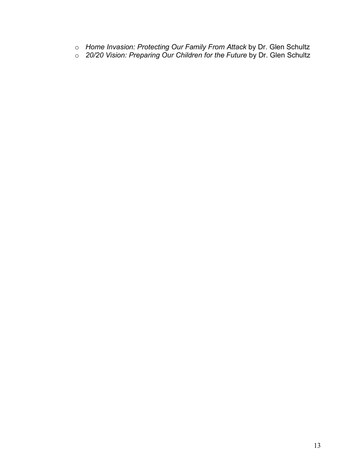- o *Home Invasion: Protecting Our Family From Attack* by Dr. Glen Schultz
- o *20/20 Vision: Preparing Our Children for the Future* by Dr. Glen Schultz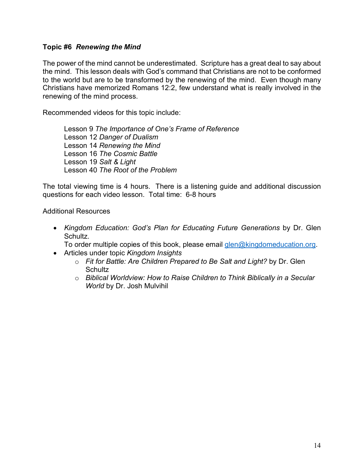## **Topic #6** *Renewing the Mind*

The power of the mind cannot be underestimated. Scripture has a great deal to say about the mind. This lesson deals with God's command that Christians are not to be conformed to the world but are to be transformed by the renewing of the mind. Even though many Christians have memorized Romans 12:2, few understand what is really involved in the renewing of the mind process.

Recommended videos for this topic include:

Lesson 9 *The Importance of One's Frame of Reference* Lesson 12 *Danger of Dualism* Lesson 14 *Renewing the Mind* Lesson 16 *The Cosmic Battle* Lesson 19 *Salt & Light* Lesson 40 *The Root of the Problem*

The total viewing time is 4 hours. There is a listening guide and additional discussion questions for each video lesson. Total time: 6-8 hours

Additional Resources

• *Kingdom Education: God's Plan for Educating Future Generations* by Dr. Glen Schultz.

To order multiple copies of this book, please email glen@kingdomeducation.org.

- Articles under topic *Kingdom Insights*
	- o *Fit for Battle: Are Children Prepared to Be Salt and Light?* by Dr. Glen **Schultz**
	- o *Biblical Worldview: How to Raise Children to Think Biblically in a Secular World* by Dr. Josh Mulvihil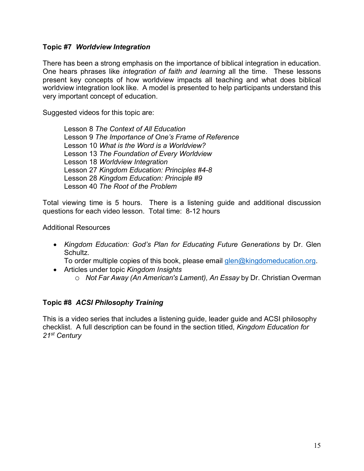## **Topic #7** *Worldview Integration*

There has been a strong emphasis on the importance of biblical integration in education. One hears phrases like *integration of faith and learning* all the time. These lessons present key concepts of how worldview impacts all teaching and what does biblical worldview integration look like. A model is presented to help participants understand this very important concept of education.

Suggested videos for this topic are:

Lesson 8 *The Context of All Education* Lesson 9 *The Importance of One's Frame of Reference* Lesson 10 *What is the Word is a Worldview?* Lesson 13 *The Foundation of Every Worldview* Lesson 18 *Worldview Integration* Lesson 27 *Kingdom Education: Principles #4-8* Lesson 28 *Kingdom Education: Principle #9* Lesson 40 *The Root of the Problem*

Total viewing time is 5 hours. There is a listening guide and additional discussion questions for each video lesson. Total time: 8-12 hours

#### Additional Resources

• *Kingdom Education: God's Plan for Educating Future Generations* by Dr. Glen Schultz.

To order multiple copies of this book, please email  $\frac{\text{glen}\textcircled{a}}{\text{kingdomeduction.org}}$ .

- Articles under topic *Kingdom Insights*
	- o *Not Far Away (An American's Lament), An Essay* by Dr. Christian Overman

## **Topic #8** *ACSI Philosophy Training*

This is a video series that includes a listening guide, leader guide and ACSI philosophy checklist. A full description can be found in the section titled, *Kingdom Education for 21st Century*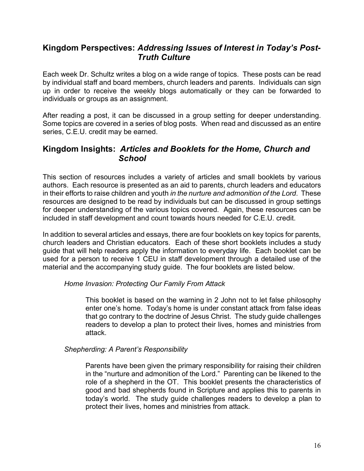# **Kingdom Perspectives:** *Addressing Issues of Interest in Today's Post- Truth Culture*

Each week Dr. Schultz writes a blog on a wide range of topics. These posts can be read by individual staff and board members, church leaders and parents. Individuals can sign up in order to receive the weekly blogs automatically or they can be forwarded to individuals or groups as an assignment.

After reading a post, it can be discussed in a group setting for deeper understanding. Some topics are covered in a series of blog posts. When read and discussed as an entire series, C.E.U. credit may be earned.

# **Kingdom Insights:** *Articles and Booklets for the Home, Church and School*

This section of resources includes a variety of articles and small booklets by various authors. Each resource is presented as an aid to parents, church leaders and educators in their efforts to raise children and youth *in the nurture and admonition of the Lord*. These resources are designed to be read by individuals but can be discussed in group settings for deeper understanding of the various topics covered. Again, these resources can be included in staff development and count towards hours needed for C.E.U. credit.

In addition to several articles and essays, there are four booklets on key topics for parents, church leaders and Christian educators. Each of these short booklets includes a study guide that will help readers apply the information to everyday life. Each booklet can be used for a person to receive 1 CEU in staff development through a detailed use of the material and the accompanying study guide. The four booklets are listed below.

## *Home Invasion: Protecting Our Family From Attack*

This booklet is based on the warning in 2 John not to let false philosophy enter one's home. Today's home is under constant attack from false ideas that go contrary to the doctrine of Jesus Christ. The study guide challenges readers to develop a plan to protect their lives, homes and ministries from attack.

## *Shepherding: A Parent's Responsibility*

Parents have been given the primary responsibility for raising their children in the "nurture and admonition of the Lord." Parenting can be likened to the role of a shepherd in the OT. This booklet presents the characteristics of good and bad shepherds found in Scripture and applies this to parents in today's world. The study guide challenges readers to develop a plan to protect their lives, homes and ministries from attack.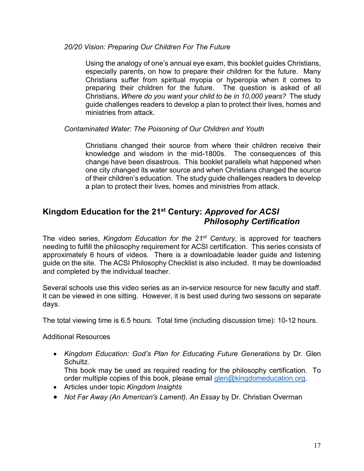## *20/20 Vision: Preparing Our Children For The Future*

Using the analogy of one's annual eye exam, this booklet guides Christians, especially parents, on how to prepare their children for the future. Many Christians suffer from spiritual myopia or hyperopia when it comes to preparing their children for the future. The question is asked of all Christians, *Where do you want your child to be in 10,000 years?* The study guide challenges readers to develop a plan to protect their lives, homes and ministries from attack.

## *Contaminated Water: The Poisoning of Our Children and Youth*

Christians changed their source from where their children receive their knowledge and wisdom in the mid-1800s. The consequences of this change have been disastrous. This booklet parallels what happened when one city changed its water source and when Christians changed the source of their children's education. The study guide challenges readers to develop a plan to protect their lives, homes and ministries from attack.

# **Kingdom Education for the 21st Century:** *Approved for ACSI Philosophy Certification*

The video series, *Kingdom Education for the 21st Century*, is approved for teachers needing to fulfill the philosophy requirement for ACSI certification. This series consists of approximately 6 hours of videos. There is a downloadable leader guide and listening guide on the site. The ACSI Philosophy Checklist is also included. It may be downloaded and completed by the individual teacher.

Several schools use this video series as an in-service resource for new faculty and staff. It can be viewed in one sitting. However, it is best used during two sessons on separate days.

The total viewing time is 6.5 hours. Total time (including discussion time): 10-12 hours.

Additional Resources

• *Kingdom Education: God's Plan for Educating Future Generations* by Dr. Glen Schultz.

This book may be used as required reading for the philosophy certification. To order multiple copies of this book, please email glen@kingdomeducation.org.

- Articles under topic *Kingdom Insights*
- *Not Far Away (An American's Lament), An Essay* by Dr. Christian Overman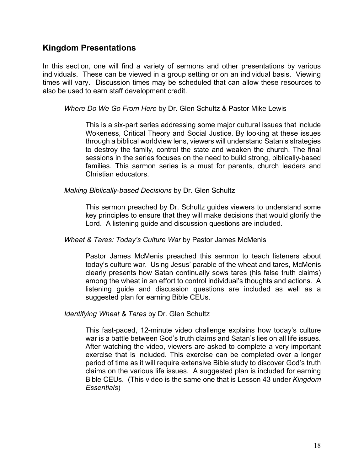# **Kingdom Presentations**

In this section, one will find a variety of sermons and other presentations by various individuals. These can be viewed in a group setting or on an individual basis. Viewing times will vary. Discussion times may be scheduled that can allow these resources to also be used to earn staff development credit.

*Where Do We Go From Here* by Dr. Glen Schultz & Pastor Mike Lewis

This is a six-part series addressing some major cultural issues that include Wokeness, Critical Theory and Social Justice. By looking at these issues through a biblical worldview lens, viewers will understand Satan's strategies to destroy the family, control the state and weaken the church. The final sessions in the series focuses on the need to build strong, biblically-based families. This sermon series is a must for parents, church leaders and Christian educators.

*Making Biblically-based Decisions* by Dr. Glen Schultz

This sermon preached by Dr. Schultz guides viewers to understand some key principles to ensure that they will make decisions that would glorify the Lord. A listening guide and discussion questions are included.

*Wheat & Tares: Today's Culture War* by Pastor James McMenis

Pastor James McMenis preached this sermon to teach listeners about today's culture war. Using Jesus' parable of the wheat and tares, McMenis clearly presents how Satan continually sows tares (his false truth claims) among the wheat in an effort to control individual's thoughts and actions. A listening guide and discussion questions are included as well as a suggested plan for earning Bible CEUs.

*Identifying Wheat & Tares* by Dr. Glen Schultz

This fast-paced, 12-minute video challenge explains how today's culture war is a battle between God's truth claims and Satan's lies on all life issues. After watching the video, viewers are asked to complete a very important exercise that is included. This exercise can be completed over a longer period of time as it will require extensive Bible study to discover God's truth claims on the various life issues. A suggested plan is included for earning Bible CEUs. (This video is the same one that is Lesson 43 under *Kingdom Essentials*)